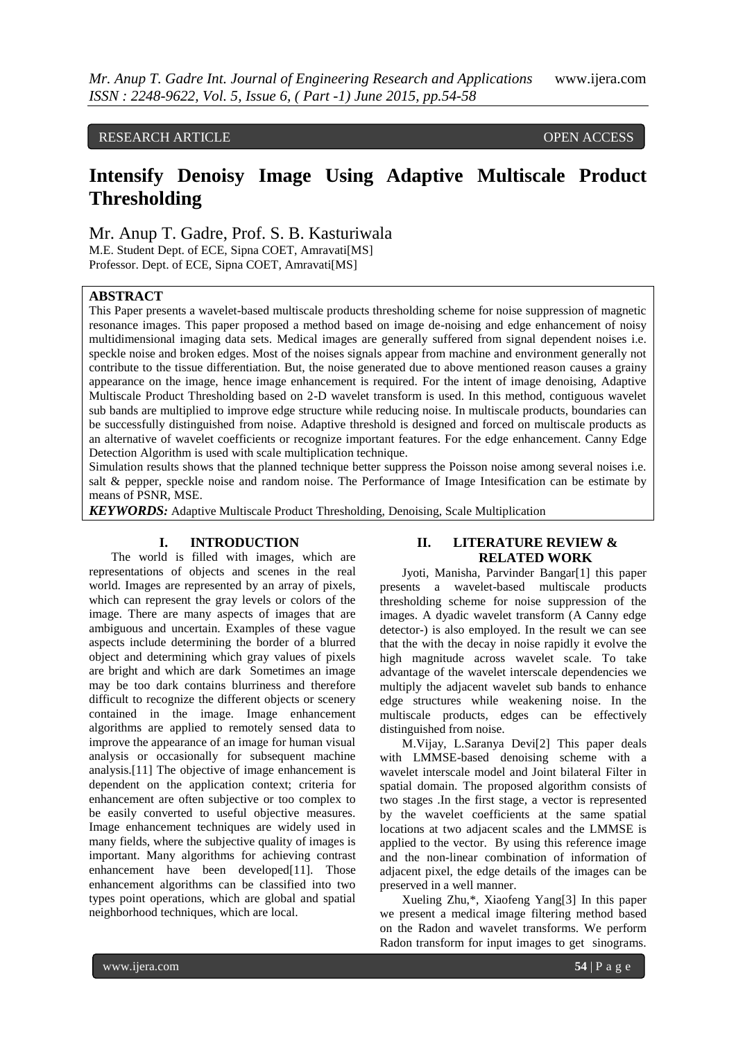RESEARCH ARTICLE OPEN ACCESS

# **Intensify Denoisy Image Using Adaptive Multiscale Product Thresholding**

Mr. Anup T. Gadre, Prof. S. B. Kasturiwala M.E. Student Dept. of ECE, Sipna COET, Amravati[MS]

Professor. Dept. of ECE, Sipna COET, Amravati[MS]

# **ABSTRACT**

This Paper presents a wavelet-based multiscale products thresholding scheme for noise suppression of magnetic resonance images. This paper proposed a method based on image de-noising and edge enhancement of noisy multidimensional imaging data sets. Medical images are generally suffered from signal dependent noises i.e. speckle noise and broken edges. Most of the noises signals appear from machine and environment generally not contribute to the tissue differentiation. But, the noise generated due to above mentioned reason causes a grainy appearance on the image, hence image enhancement is required. For the intent of image denoising, Adaptive Multiscale Product Thresholding based on 2-D wavelet transform is used. In this method, contiguous wavelet sub bands are multiplied to improve edge structure while reducing noise. In multiscale products, boundaries can be successfully distinguished from noise. Adaptive threshold is designed and forced on multiscale products as an alternative of wavelet coefficients or recognize important features. For the edge enhancement. Canny Edge Detection Algorithm is used with scale multiplication technique.

Simulation results shows that the planned technique better suppress the Poisson noise among several noises i.e. salt & pepper, speckle noise and random noise. The Performance of Image Intesification can be estimate by means of PSNR, MSE.

*KEYWORDS:* Adaptive Multiscale Product Thresholding, Denoising, Scale Multiplication

# **I. INTRODUCTION**

The world is filled with images, which are representations of objects and scenes in the real world. Images are represented by an array of pixels, which can represent the gray levels or colors of the image. There are many aspects of images that are ambiguous and uncertain. Examples of these vague aspects include determining the border of a blurred object and determining which gray values of pixels are bright and which are dark Sometimes an image may be too dark contains blurriness and therefore difficult to recognize the different objects or scenery contained in the image. Image enhancement algorithms are applied to remotely sensed data to improve the appearance of an image for human visual analysis or occasionally for subsequent machine analysis.[11] The objective of image enhancement is dependent on the application context; criteria for enhancement are often subjective or too complex to be easily converted to useful objective measures. Image enhancement techniques are widely used in many fields, where the subjective quality of images is important. Many algorithms for achieving contrast enhancement have been developed[11]. Those enhancement algorithms can be classified into two types point operations, which are global and spatial neighborhood techniques, which are local.

# **II. LITERATURE REVIEW & RELATED WORK**

Jyoti, Manisha, Parvinder Bangar[1] this paper presents a wavelet-based multiscale products thresholding scheme for noise suppression of the images. A dyadic wavelet transform (A Canny edge detector-) is also employed. In the result we can see that the with the decay in noise rapidly it evolve the high magnitude across wavelet scale. To take advantage of the wavelet interscale dependencies we multiply the adjacent wavelet sub bands to enhance edge structures while weakening noise. In the multiscale products, edges can be effectively distinguished from noise.

M.Vijay, L.Saranya Devi[2] This paper deals with LMMSE-based denoising scheme with a wavelet interscale model and Joint bilateral Filter in spatial domain. The proposed algorithm consists of two stages .In the first stage, a vector is represented by the wavelet coefficients at the same spatial locations at two adjacent scales and the LMMSE is applied to the vector. By using this reference image and the non-linear combination of information of adjacent pixel, the edge details of the images can be preserved in a well manner.

Xueling Zhu,\*, Xiaofeng Yang[3] In this paper we present a medical image filtering method based on the Radon and wavelet transforms. We perform Radon transform for input images to get sinograms.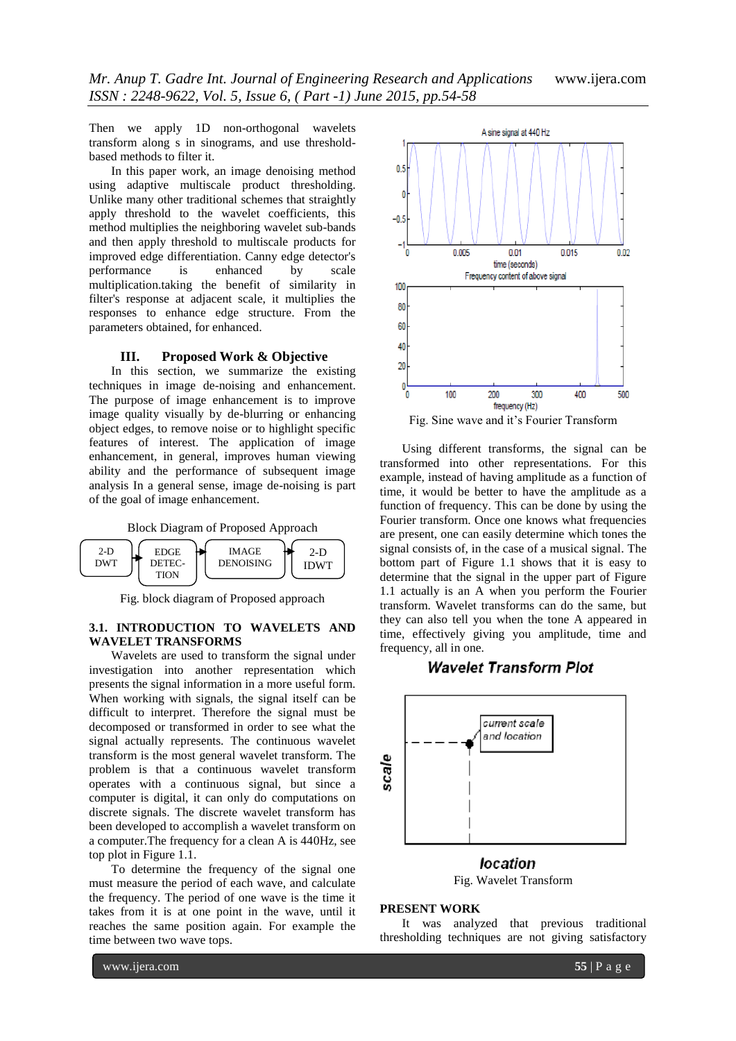Then we apply 1D non-orthogonal wavelets transform along s in sinograms, and use thresholdbased methods to filter it.

In this paper work, an image denoising method using adaptive multiscale product thresholding. Unlike many other traditional schemes that straightly apply threshold to the wavelet coefficients, this method multiplies the neighboring wavelet sub-bands and then apply threshold to multiscale products for improved edge differentiation. Canny edge detector's performance is enhanced by scale multiplication.taking the benefit of similarity in filter's response at adjacent scale, it multiplies the responses to enhance edge structure. From the parameters obtained, for enhanced.

# **III. Proposed Work & Objective**

In this section, we summarize the existing techniques in image de-noising and enhancement. The purpose of image enhancement is to improve image quality visually by de-blurring or enhancing object edges, to remove noise or to highlight specific features of interest. The application of image enhancement, in general, improves human viewing ability and the performance of subsequent image analysis In a general sense, image de-noising is part of the goal of image enhancement.





Fig. block diagram of Proposed approach

# **3.1. INTRODUCTION TO WAVELETS AND WAVELET TRANSFORMS**

Wavelets are used to transform the signal under investigation into another representation which presents the signal information in a more useful form. When working with signals, the signal itself can be difficult to interpret. Therefore the signal must be decomposed or transformed in order to see what the signal actually represents. The continuous wavelet transform is the most general wavelet transform. The problem is that a continuous wavelet transform operates with a continuous signal, but since a computer is digital, it can only do computations on discrete signals. The discrete wavelet transform has been developed to accomplish a wavelet transform on a computer.The frequency for a clean A is 440Hz, see top plot in Figure 1.1.

To determine the frequency of the signal one must measure the period of each wave, and calculate the frequency. The period of one wave is the time it takes from it is at one point in the wave, until it reaches the same position again. For example the time between two wave tops.



Using different transforms, the signal can be transformed into other representations. For this example, instead of having amplitude as a function of time, it would be better to have the amplitude as a function of frequency. This can be done by using the Fourier transform. Once one knows what frequencies are present, one can easily determine which tones the signal consists of, in the case of a musical signal. The bottom part of Figure 1.1 shows that it is easy to determine that the signal in the upper part of Figure 1.1 actually is an A when you perform the Fourier transform. Wavelet transforms can do the same, but they can also tell you when the tone A appeared in time, effectively giving you amplitude, time and frequency, all in one.

### **Wavelet Transform Plot**



Fig. Wavelet Transform

#### **PRESENT WORK**

It was analyzed that previous traditional thresholding techniques are not giving satisfactory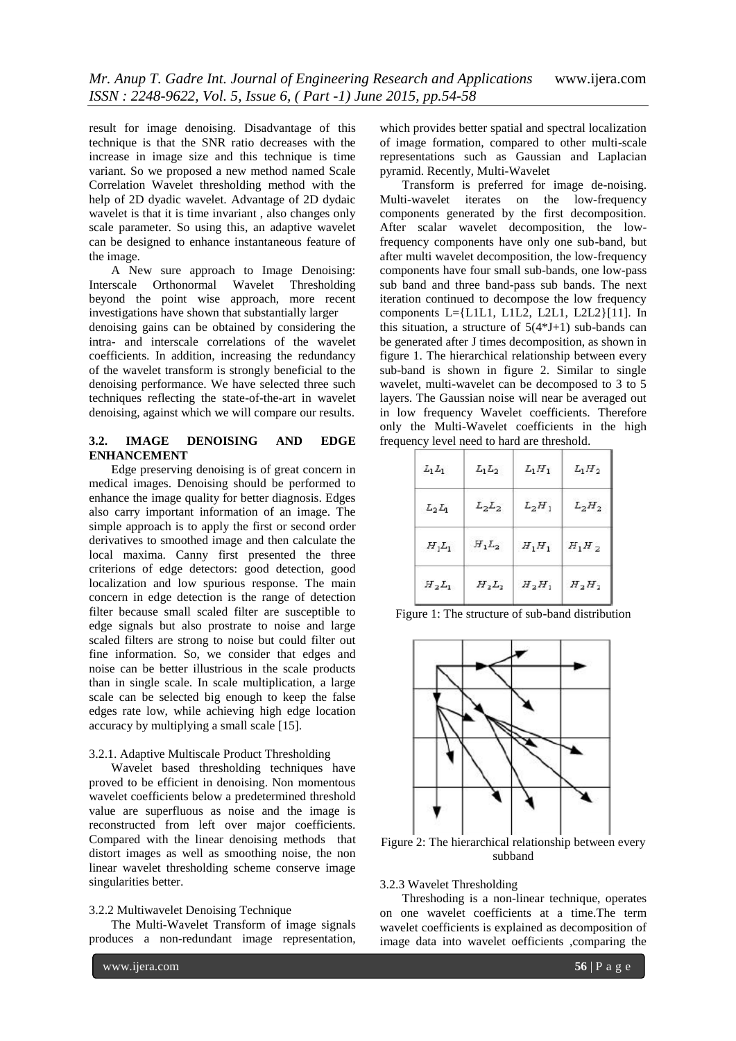result for image denoising. Disadvantage of this technique is that the SNR ratio decreases with the increase in image size and this technique is time variant. So we proposed a new method named Scale Correlation Wavelet thresholding method with the help of 2D dyadic wavelet. Advantage of 2D dydaic wavelet is that it is time invariant , also changes only scale parameter. So using this, an adaptive wavelet can be designed to enhance instantaneous feature of the image.

A New sure approach to Image Denoising: Interscale Orthonormal Wavelet Thresholding beyond the point wise approach, more recent investigations have shown that substantially larger denoising gains can be obtained by considering the intra- and interscale correlations of the wavelet coefficients. In addition, increasing the redundancy of the wavelet transform is strongly beneficial to the denoising performance. We have selected three such techniques reflecting the state-of-the-art in wavelet denoising, against which we will compare our results.

# **3.2. IMAGE DENOISING AND EDGE ENHANCEMENT**

Edge preserving denoising is of great concern in medical images. Denoising should be performed to enhance the image quality for better diagnosis. Edges also carry important information of an image. The simple approach is to apply the first or second order derivatives to smoothed image and then calculate the local maxima. Canny first presented the three criterions of edge detectors: good detection, good localization and low spurious response. The main concern in edge detection is the range of detection filter because small scaled filter are susceptible to edge signals but also prostrate to noise and large scaled filters are strong to noise but could filter out fine information. So, we consider that edges and noise can be better illustrious in the scale products than in single scale. In scale multiplication, a large scale can be selected big enough to keep the false edges rate low, while achieving high edge location accuracy by multiplying a small scale [15].

# 3.2.1. Adaptive Multiscale Product Thresholding

Wavelet based thresholding techniques have proved to be efficient in denoising. Non momentous wavelet coefficients below a predetermined threshold value are superfluous as noise and the image is reconstructed from left over major coefficients. Compared with the linear denoising methods that distort images as well as smoothing noise, the non linear wavelet thresholding scheme conserve image singularities better.

# 3.2.2 Multiwavelet Denoising Technique

The Multi-Wavelet Transform of image signals produces a non-redundant image representation,

www.ijera.com **56** | P a g e

which provides better spatial and spectral localization of image formation, compared to other multi-scale representations such as Gaussian and Laplacian pyramid. Recently, Multi-Wavelet

Transform is preferred for image de-noising. Multi-wavelet iterates on the low-frequency components generated by the first decomposition. After scalar wavelet decomposition, the lowfrequency components have only one sub-band, but after multi wavelet decomposition, the low-frequency components have four small sub-bands, one low-pass sub band and three band-pass sub bands. The next iteration continued to decompose the low frequency components L={L1L1, L1L2, L2L1, L2L2}[11]. In this situation, a structure of  $5(4*J+1)$  sub-bands can be generated after J times decomposition, as shown in figure 1. The hierarchical relationship between every sub-band is shown in figure 2. Similar to single wavelet, multi-wavelet can be decomposed to 3 to 5 layers. The Gaussian noise will near be averaged out in low frequency Wavelet coefficients. Therefore only the Multi-Wavelet coefficients in the high frequency level need to hard are threshold.

| $L_1L_1$ | $L_1L_2$ | $L_1H_1$ | $L_1H_2$ |
|----------|----------|----------|----------|
| $L_2L_1$ | $L_2L_2$ | $L_2H_1$ | $L_2H_2$ |
| $H_1L_1$ | $H_1L_2$ | $H_1H_1$ | $H_1H_2$ |
| $H_2L_1$ | $H_2L_2$ | $H_2H_1$ | $H_2H_1$ |

Figure 1: The structure of sub-band distribution



Figure 2: The hierarchical relationship between every subband

# 3.2.3 Wavelet Thresholding

Threshoding is a non-linear technique, operates on one wavelet coefficients at a time.The term wavelet coefficients is explained as decomposition of image data into wavelet oefficients ,comparing the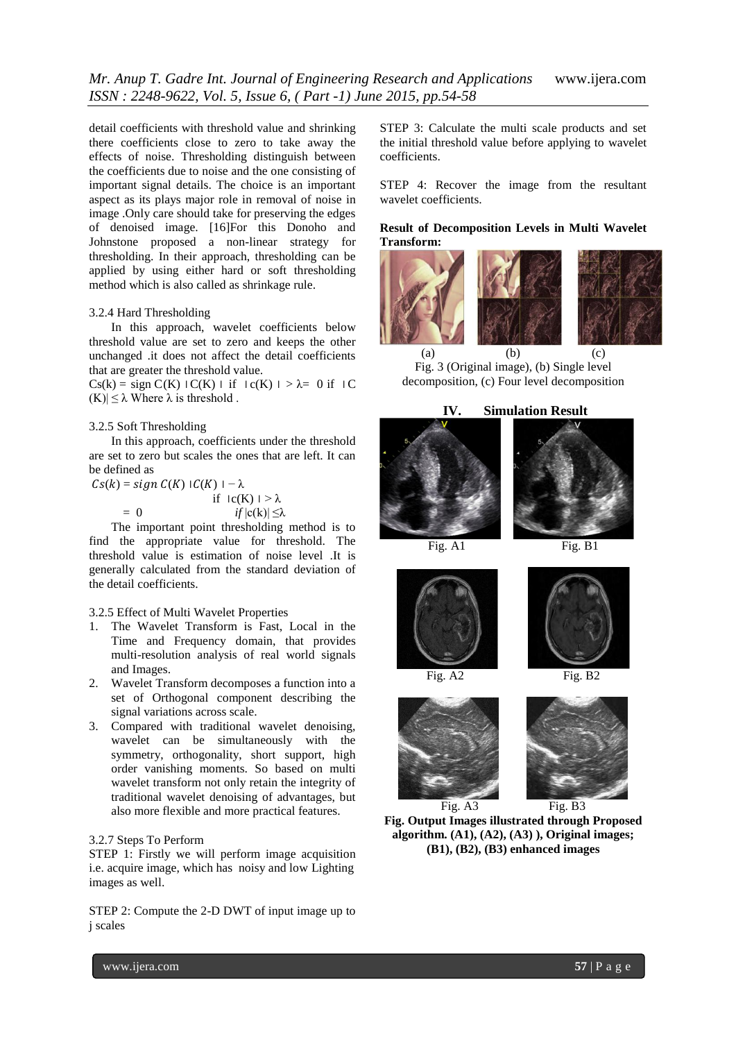detail coefficients with threshold value and shrinking there coefficients close to zero to take away the effects of noise. Thresholding distinguish between the coefficients due to noise and the one consisting of important signal details. The choice is an important aspect as its plays major role in removal of noise in image .Only care should take for preserving the edges of denoised image. [16]For this Donoho and Johnstone proposed a non-linear strategy for thresholding. In their approach, thresholding can be applied by using either hard or soft thresholding method which is also called as shrinkage rule.

#### 3.2.4 Hard Thresholding

In this approach, wavelet coefficients below threshold value are set to zero and keeps the other unchanged .it does not affect the detail coefficients that are greater the threshold value.

 $Cs(k) = sign C(K)$   $\mid C(K) \mid$  if  $\mid c(K) \mid > \lambda = 0$  if  $\mid C$  $(K)| \leq \lambda$  Where  $\lambda$  is threshold.

# 3.2.5 Soft Thresholding

In this approach, coefficients under the threshold are set to zero but scales the ones that are left. It can be defined as

 $Cs(k) = sign C(K) |C(K)| - \lambda$ if  $lc(K)$   $\geq \lambda$  $= 0$  *if*  $|c(k)| \leq \lambda$ 

The important point thresholding method is to find the appropriate value for threshold. The threshold value is estimation of noise level .It is generally calculated from the standard deviation of the detail coefficients.

#### 3.2.5 Effect of Multi Wavelet Properties

- 1. The Wavelet Transform is Fast, Local in the Time and Frequency domain, that provides multi-resolution analysis of real world signals and Images.
- 2. Wavelet Transform decomposes a function into a set of Orthogonal component describing the signal variations across scale.
- 3. Compared with traditional wavelet denoising, wavelet can be simultaneously with the symmetry, orthogonality, short support, high order vanishing moments. So based on multi wavelet transform not only retain the integrity of traditional wavelet denoising of advantages, but also more flexible and more practical features.

#### 3.2.7 Steps To Perform

STEP 1: Firstly we will perform image acquisition i.e. acquire image, which has noisy and low Lighting images as well.

STEP 2: Compute the 2-D DWT of input image up to j scales

STEP 3: Calculate the multi scale products and set the initial threshold value before applying to wavelet coefficients.

STEP 4: Recover the image from the resultant wavelet coefficients.

## **Result of Decomposition Levels in Multi Wavelet Transform:**





(a) (b) (c) Fig. 3 (Original image), (b) Single level decomposition, (c) Four level decomposition





Fig. A1  $\overline{\qquad \qquad}$  Fig. B1



Fig.  $A2$  Fig. B2







**Fig. Output Images illustrated through Proposed algorithm. (A1), (A2), (A3) ), Original images; (B1), (B2), (B3) enhanced images**